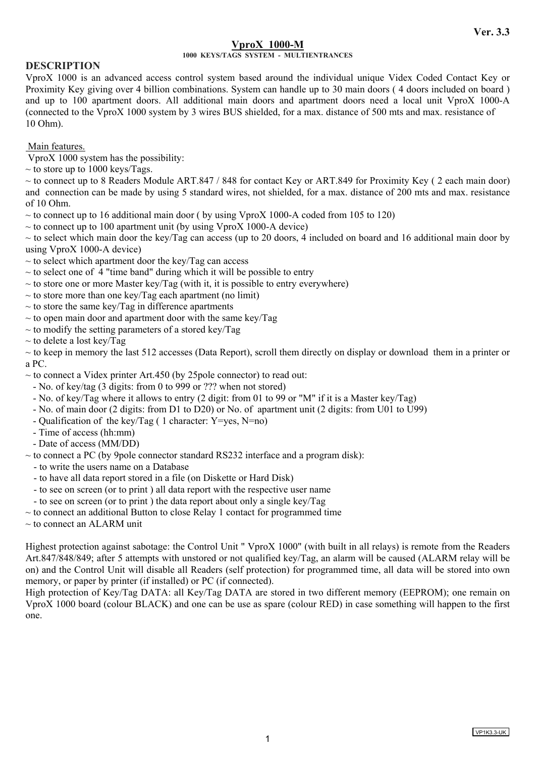# **VproX 1000-M**

## **1000 KEYS/TAGS SYSTEM - MULTIENTRANCES**

# **DESCRIPTION**

VproX 1000 is an advanced access control system based around the individual unique Videx Coded Contact Key or Proximity Key giving over 4 billion combinations. System can handle up to 30 main doors ( 4 doors included on board ) and up to 100 apartment doors. All additional main doors and apartment doors need a local unit VproX 1000-A (connected to the VproX 1000 system by 3 wires BUS shielded, for a max. distance of 500 mts and max. resistance of 10 Ohm).

Main features.

VproX 1000 system has the possibility:

 $\sim$  to store up to 1000 keys/Tags.

 $\sim$  to connect up to 8 Readers Module ART.847 / 848 for contact Key or ART.849 for Proximity Key (2 each main door) and connection can be made by using 5 standard wires, not shielded, for a max. distance of 200 mts and max. resistance of 10 Ohm.

 $\sim$  to connect up to 16 additional main door ( by using VproX 1000-A coded from 105 to 120)

 $\sim$  to connect up to 100 apartment unit (by using VproX 1000-A device)

 $\sim$  to select which main door the key/Tag can access (up to 20 doors, 4 included on board and 16 additional main door by using VproX 1000-A device)

 $\sim$  to select which apartment door the key/Tag can access

 $\sim$  to select one of 4 "time band" during which it will be possible to entry

- $\sim$  to store one or more Master key/Tag (with it, it is possible to entry everywhere)
- $\sim$  to store more than one key/Tag each apartment (no limit)
- $\sim$  to store the same key/Tag in difference apartments
- $\sim$  to open main door and apartment door with the same key/Tag
- $\sim$  to modify the setting parameters of a stored key/Tag
- $\sim$  to delete a lost key/Tag

 $\sim$  to keep in memory the last 512 accesses (Data Report), scroll them directly on display or download them in a printer or a PC.

 $\sim$  to connect a Videx printer Art.450 (by 25 pole connector) to read out:

- No. of key/tag (3 digits: from 0 to 999 or ??? when not stored)
- No. of key/Tag where it allows to entry (2 digit: from 01 to 99 or "M" if it is a Master key/Tag)
- No. of main door (2 digits: from D1 to D20) or No. of apartment unit (2 digits: from U01 to U99)
- Qualification of the key/Tag ( 1 character: Y=yes, N=no)
- Time of access (hh:mm)
- Date of access (MM/DD)

 $\sim$  to connect a PC (by 9pole connector standard RS232 interface and a program disk):

- to write the users name on a Database
- to have all data report stored in a file (on Diskette or Hard Disk)
- to see on screen (or to print ) all data report with the respective user name

- to see on screen (or to print ) the data report about only a single key/Tag

 $\sim$  to connect an additional Button to close Relay 1 contact for programmed time

 $\sim$  to connect an ALARM unit

Highest protection against sabotage: the Control Unit " VproX 1000" (with built in all relays) is remote from the Readers Art.847/848/849; after 5 attempts with unstored or not qualified key/Tag, an alarm will be caused (ALARM relay will be on) and the Control Unit will disable all Readers (self protection) for programmed time, all data will be stored into own memory, or paper by printer (if installed) or PC (if connected).

High protection of Key/Tag DATA: all Key/Tag DATA are stored in two different memory (EEPROM); one remain on VproX 1000 board (colour BLACK) and one can be use as spare (colour RED) in case something will happen to the first one.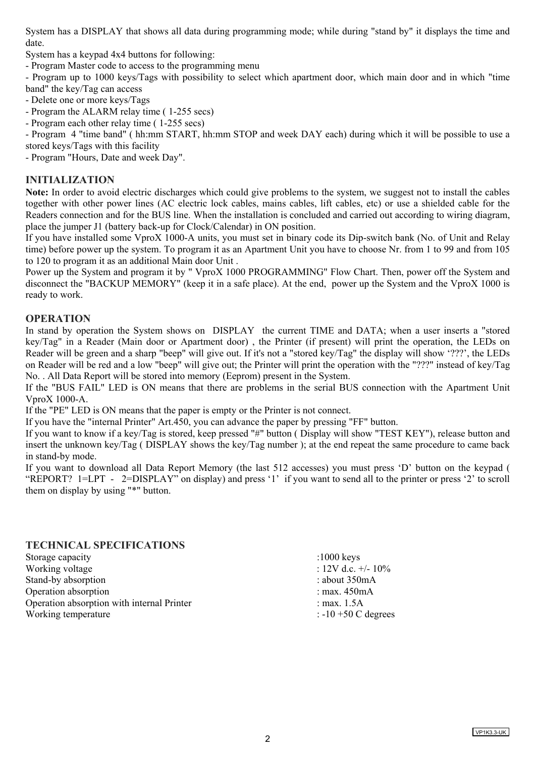System has a DISPLAY that shows all data during programming mode; while during "stand by" it displays the time and date.

System has a keypad 4x4 buttons for following:

- Program Master code to access to the programming menu

- Program up to 1000 keys/Tags with possibility to select which apartment door, which main door and in which "time band" the key/Tag can access

- Delete one or more keys/Tags
- Program the ALARM relay time ( 1-255 secs)

- Program each other relay time ( 1-255 secs)

- Program 4 "time band" ( hh:mm START, hh:mm STOP and week DAY each) during which it will be possible to use a stored keys/Tags with this facility

- Program "Hours, Date and week Day".

# **INITIALIZATION**

**Note:** In order to avoid electric discharges which could give problems to the system, we suggest not to install the cables together with other power lines (AC electric lock cables, mains cables, lift cables, etc) or use a shielded cable for the Readers connection and for the BUS line. When the installation is concluded and carried out according to wiring diagram, place the jumper J1 (battery back-up for Clock/Calendar) in ON position.

If you have installed some VproX 1000-A units, you must set in binary code its Dip-switch bank (No. of Unit and Relay time) before power up the system. To program it as an Apartment Unit you have to choose Nr. from 1 to 99 and from 105 to 120 to program it as an additional Main door Unit .

Power up the System and program it by " VproX 1000 PROGRAMMING" Flow Chart. Then, power off the System and disconnect the "BACKUP MEMORY" (keep it in a safe place). At the end, power up the System and the VproX 1000 is ready to work.

# **OPERATION**

In stand by operation the System shows on DISPLAY the current TIME and DATA; when a user inserts a "stored key/Tag" in a Reader (Main door or Apartment door) , the Printer (if present) will print the operation, the LEDs on Reader will be green and a sharp "beep" will give out. If it's not a "stored key/Tag" the display will show '???', the LEDs on Reader will be red and a low "beep" will give out; the Printer will print the operation with the "???" instead of key/Tag No. . All Data Report will be stored into memory (Eeprom) present in the System.

If the "BUS FAIL" LED is ON means that there are problems in the serial BUS connection with the Apartment Unit VproX 1000-A.

If the "PE" LED is ON means that the paper is empty or the Printer is not connect.

If you have the "internal Printer" Art.450, you can advance the paper by pressing "FF" button.

If you want to know if a key/Tag is stored, keep pressed "#" button ( Display will show "TEST KEY"), release button and insert the unknown key/Tag ( DISPLAY shows the key/Tag number ); at the end repeat the same procedure to came back in stand-by mode.

If you want to download all Data Report Memory (the last 512 accesses) you must press 'D' button on the keypad ( "REPORT? 1=LPT - 2=DISPLAY" on display) and press '1' if you want to send all to the printer or press '2' to scroll them on display by using "\*" button.

## **TECHNICAL SPECIFICATIONS**

Storage capacity in the storage capacity in the storage capacity in the storage capacity in the storage of  $\sim$  1000 keys Working voltage  $: 12V$  d.c.  $+/- 10\%$ Stand-by absorption  $\blacksquare$ Operation absorption : max. 450mA Operation absorption with internal Printer : max. 1.5A Working temperature  $: -10 + 50$  C degrees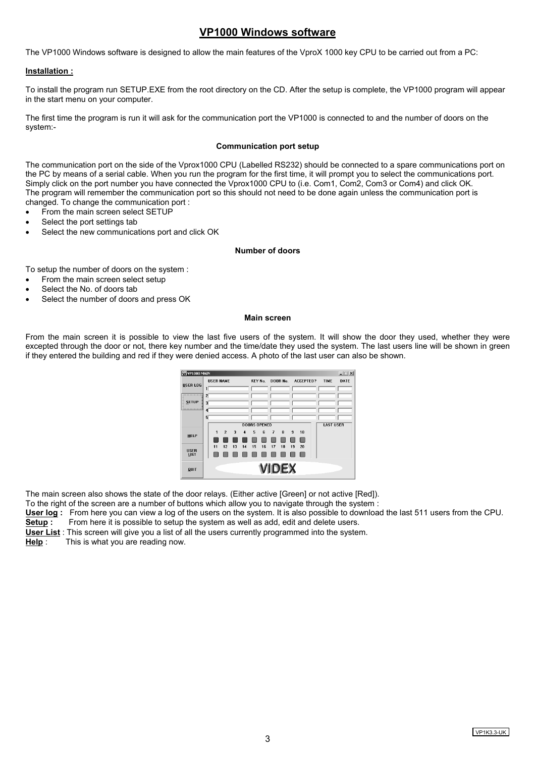# **VP1000 Windows software**

The VP1000 Windows software is designed to allow the main features of the VproX 1000 key CPU to be carried out from a PC:

## **Installation :**

To install the program run SETUP.EXE from the root directory on the CD. After the setup is complete, the VP1000 program will appear in the start menu on your computer.

The first time the program is run it will ask for the communication port the VP1000 is connected to and the number of doors on the system:-

#### **Communication port setup**

The communication port on the side of the Vprox1000 CPU (Labelled RS232) should be connected to a spare communications port on the PC by means of a serial cable. When you run the program for the first time, it will prompt you to select the communications port. Simply click on the port number you have connected the Vprox1000 CPU to (i.e. Com1, Com2, Com3 or Com4) and click OK. The program will remember the communication port so this should not need to be done again unless the communication port is changed. To change the communication port :

- From the main screen select SETUP
- Select the port settings tab
- Select the new communications port and click OK

#### **Number of doors**

To setup the number of doors on the system :

- From the main screen select setup
- Select the No. of doors tab
- Select the number of doors and press OK

#### **Main screen**

From the main screen it is possible to view the last five users of the system. It will show the door they used, whether they were excepted through the door or not, there key number and the time/date they used the system. The last users line will be shown in green if they entered the building and red if they were denied access. A photo of the last user can also be shown.



The main screen also shows the state of the door relays. (Either active [Green] or not active [Red]).

To the right of the screen are a number of buttons which allow you to navigate through the system :

**User log :** From here you can view a log of the users on the system. It is also possible to download the last 511 users from the CPU.

**Setup :** From here it is possible to setup the system as well as add, edit and delete users.

**User List** : This screen will give you a list of all the users currently programmed into the system.

**Help** : This is what you are reading now.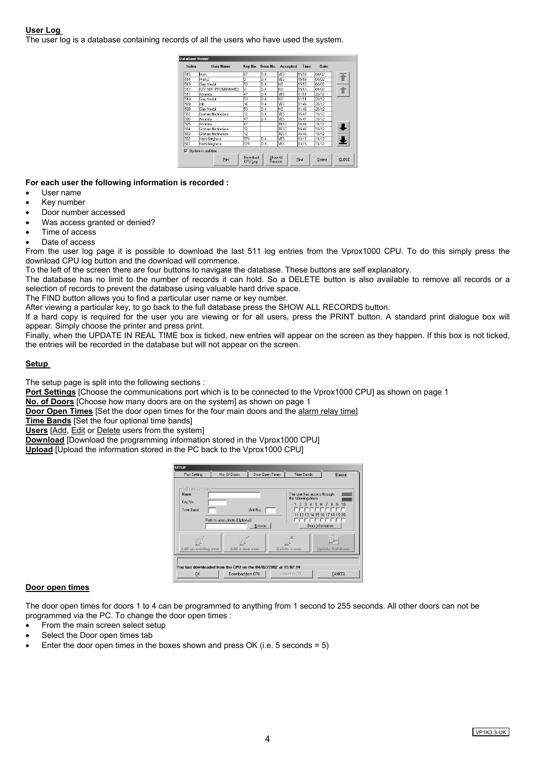## **User Log**

The user log is a database containing records of all the users who have used the system.

| Index | <b>User Name</b>    |                     |                     | Key No. Door No. Accepted | Time  | Date   |       |
|-------|---------------------|---------------------|---------------------|---------------------------|-------|--------|-------|
| 515   | Mark                | l67                 | D.4                 | <b>YES</b>                | 15:58 | 04/02  |       |
| 514   | Mark2               | 'n                  | D.4                 | YES                       | 15:58 | 04/02  |       |
| 513   | Gary Nesbit         | 53                  | D.4                 | NΟ                        | 15:53 | 04/02  |       |
| 512   | KEY NOT PROGRAMMED  | In                  | D.4                 | NO                        | 15:53 | 04/02  |       |
| 511   | Amanda              | 147                 | D.4                 | YES                       | 11:51 | 20/12  |       |
| 510   | Gary Nesbit         | 53                  | D.4                 | NΟ                        | 11:51 | 20/12  |       |
| 509   | rob.                | 16                  | D.4                 | YES                       | 11:46 | 20/12  |       |
| 508   | Gary Nesbit         | 53                  | D.4                 | NO                        | 11:46 | 20/12  |       |
| 507   | Graham Nichholson   | 12                  | D.4                 | YES                       | 16:47 | 18/12  |       |
| 506   | Amanda              | 47                  | D.4                 | YES                       | 16:47 | 18/12  |       |
| 505   | Amanda              | 47                  |                     | TEST                      | 16:46 | 18/12  |       |
| 504   | Graham Nichholson   | 12                  |                     | TEST                      | 16:46 | 18/12  | J     |
| 503   | Graham Nichholson   | 12                  |                     | TEST                      | 16:46 | 18/12  |       |
| 502   | Keith Gleghorn      | 574                 | D.4                 | YES                       | 13:19 | 11/12  | Ł     |
| 501   | Keith Gleahorn      | 574                 | D.4                 | lYES.                     | 13:15 | 11/12  |       |
| ☞     | Update in real time |                     |                     |                           |       |        |       |
|       | Print               | Download<br>CPU Log | Show All<br>Records |                           | Find  | Delete | CLOSE |

**For each user the following information is recorded :** 

- User name
- Key number
- Door number accessed
- Was access granted or denied?
- Time of access
- Date of access

From the user log page it is possible to download the last 511 log entries from the Vprox1000 CPU. To do this simply press the download CPU log button and the download will commence.

To the left of the screen there are four buttons to navigate the database. These buttons are self explanatory.

The database has no limit to the number of records it can hold. So a DELETE button is also available to remove all records or a selection of records to prevent the database using valuable hard drive space.

The FIND button allows you to find a particular user name or key number.

After viewing a particular key, to go back to the full database press the SHOW ALL RECORDS button.

If a hard copy is required for the user you are viewing or for all users, press the PRINT button. A standard print dialogue box will appear. Simply choose the printer and press print.

Finally, when the UPDATE IN REAL TIME box is ticked, new entries will appear on the screen as they happen. If this box is not ticked, the entries will be recorded in the database but will not appear on the screen.

## **Setup**

The setup page is split into the following sections :

**Port Settings** [Choose the communications port which is to be connected to the Vprox1000 CPU] as shown on page 1

**No. of Doors** [Choose how many doors are on the system] as shown on page 1

**Door Open Times** [Set the door open times for the four main doors and the alarm relay time]

**Time Bands** [Set the four optional time bands]

**Users** [Add, Edit or Delete users from the system]

**Download** [Download the programming information stored in the Vprox1000 CPU]

**Upload** [Upload the information stored in the PC back to the Vprox1000 CPU]

| <b>SETUP</b><br>Port Setting                                                                                                | No. Of Doors                                                | Door Open Times<br>Time Bands             | <b>Users</b>                                                                                                                           |  |  |  |
|-----------------------------------------------------------------------------------------------------------------------------|-------------------------------------------------------------|-------------------------------------------|----------------------------------------------------------------------------------------------------------------------------------------|--|--|--|
| Edit user database-<br>Name<br>Key No.<br>Time Band                                                                         | Unit No.<br>Path to users photo (Optional)<br><b>Browse</b> | the following doors<br>$\mathcal{D}$<br>ಾ | The user has access through<br>78<br>9<br>10<br>-5<br>6<br>$\boldsymbol{\Lambda}$<br>11 12 13 14 15 16 17 18 19 20<br>Door Information |  |  |  |
| Edit an existing user                                                                                                       | Add a new user                                              | Delete a user                             | <b>Update Database</b>                                                                                                                 |  |  |  |
| You last downloaded from the CPU on the 04/02/2002 at 15:07:14<br><b>OK</b><br>Download from CPU<br>CANCEL<br>Upload to CPU |                                                             |                                           |                                                                                                                                        |  |  |  |

#### **Door open times**

The door open times for doors 1 to 4 can be programmed to anything from 1 second to 255 seconds. All other doors can not be programmed via the PC. To change the door open times :

- From the main screen select setup
- Select the Door open times tab
- Enter the door open times in the boxes shown and press OK (i.e.  $5$  seconds =  $5$ )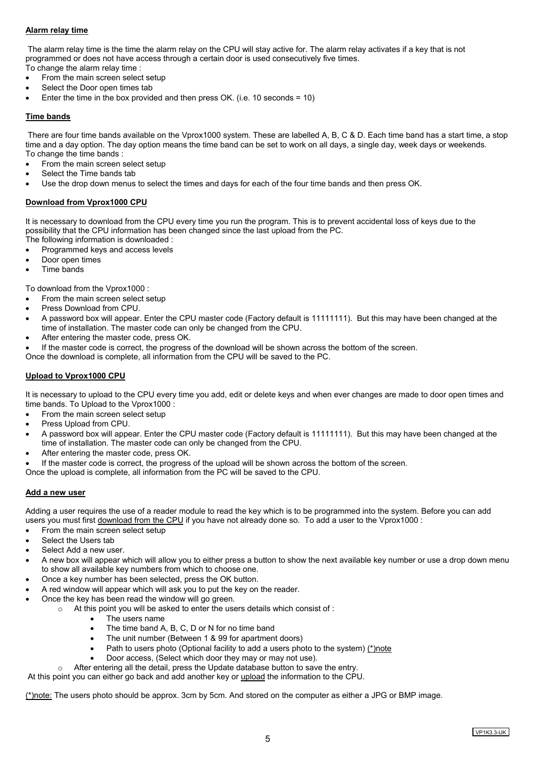## **Alarm relay time**

 The alarm relay time is the time the alarm relay on the CPU will stay active for. The alarm relay activates if a key that is not programmed or does not have access through a certain door is used consecutively five times.

- To change the alarm relay time :
- From the main screen select setup Select the Door open times tab
- Enter the time in the box provided and then press OK. (i.e. 10 seconds = 10)

## **Time bands**

 There are four time bands available on the Vprox1000 system. These are labelled A, B, C & D. Each time band has a start time, a stop time and a day option. The day option means the time band can be set to work on all days, a single day, week days or weekends. To change the time bands :

- From the main screen select setup
- Select the Time bands tab
- Use the drop down menus to select the times and days for each of the four time bands and then press OK.

## **Download from Vprox1000 CPU**

It is necessary to download from the CPU every time you run the program. This is to prevent accidental loss of keys due to the possibility that the CPU information has been changed since the last upload from the PC.

- The following information is downloaded :
- Programmed keys and access levels
- Door open times
- Time bands

To download from the Vprox1000 :

- From the main screen select setup
- Press Download from CPU.
- A password box will appear. Enter the CPU master code (Factory default is 11111111). But this may have been changed at the time of installation. The master code can only be changed from the CPU.
- After entering the master code, press OK.
- If the master code is correct, the progress of the download will be shown across the bottom of the screen.
- Once the download is complete, all information from the CPU will be saved to the PC.

## **Upload to Vprox1000 CPU**

It is necessary to upload to the CPU every time you add, edit or delete keys and when ever changes are made to door open times and time bands. To Upload to the Vprox1000 :

- From the main screen select setup
- Press Upload from CPU.
- A password box will appear. Enter the CPU master code (Factory default is 11111111). But this may have been changed at the time of installation. The master code can only be changed from the CPU.
- After entering the master code, press OK.
- If the master code is correct, the progress of the upload will be shown across the bottom of the screen.

Once the upload is complete, all information from the PC will be saved to the CPU.

## **Add a new user**

Adding a user requires the use of a reader module to read the key which is to be programmed into the system. Before you can add users you must first download from the CPU if you have not already done so. To add a user to the Vprox1000 :

- From the main screen select setup
- Select the Users tab
- Select Add a new user.
- A new box will appear which will allow you to either press a button to show the next available key number or use a drop down menu to show all available key numbers from which to choose one.
- Once a key number has been selected, press the OK button.
- A red window will appear which will ask you to put the key on the reader.
	- Once the key has been read the window will go green.
		- o At this point you will be asked to enter the users details which consist of :
			- The users name
			- The time band A, B, C, D or N for no time band
			- The unit number (Between 1 & 99 for apartment doors)
			- Path to users photo (Optional facility to add a users photo to the system) (\*)note
			- Door access, (Select which door they may or may not use).

o After entering all the detail, press the Update database button to save the entry.

At this point you can either go back and add another key or upload the information to the CPU.

(\*)note: The users photo should be approx. 3cm by 5cm. And stored on the computer as either a JPG or BMP image.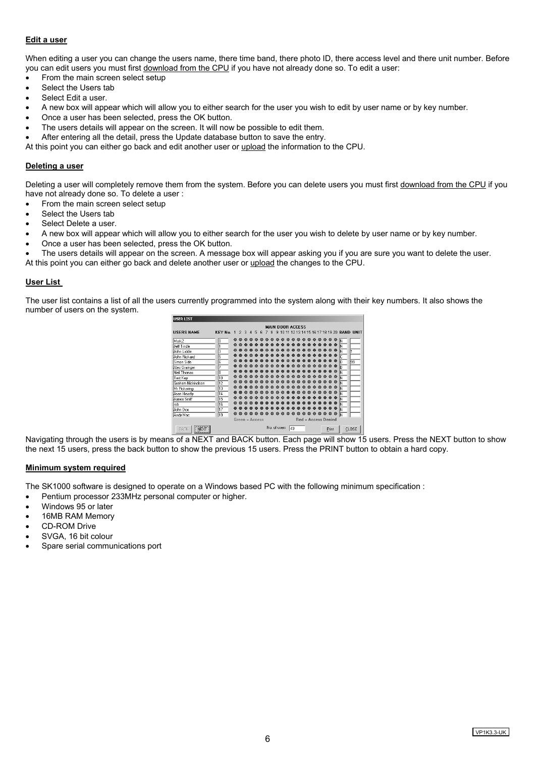## **Edit a user**

When editing a user you can change the users name, there time band, there photo ID, there access level and there unit number. Before you can edit users you must first download from the CPU if you have not already done so. To edit a user:

- From the main screen select setup
- Select the Users tab
- Select Edit a user.
- A new box will appear which will allow you to either search for the user you wish to edit by user name or by key number.
- Once a user has been selected, press the OK button.
- The users details will appear on the screen. It will now be possible to edit them.
- After entering all the detail, press the Update database button to save the entry.

At this point you can either go back and edit another user or upload the information to the CPU.

#### **Deleting a user**

Deleting a user will completely remove them from the system. Before you can delete users you must first download from the CPU if you have not already done so. To delete a user :

• From the main screen select setup

- Select the Users tab
- Select Delete a user.
- A new box will appear which will allow you to either search for the user you wish to delete by user name or by key number.
- Once a user has been selected, press the OK button.

The users details will appear on the screen. A message box will appear asking you if you are sure you want to delete the user.

At this point you can either go back and delete another user or upload the changes to the CPU.

#### **User List**

The user list contains a list of all the users currently programmed into the system along with their key numbers. It also shows the number of users on the system.



Navigating through the users is by means of a NEXT and BACK button. Fach page will show 15 users. Press the NEXT button to show the next 15 users, press the back button to show the previous 15 users. Press the PRINT button to obtain a hard copy.

#### **Minimum system required**

The SK1000 software is designed to operate on a Windows based PC with the following minimum specification :

- Pentium processor 233MHz personal computer or higher.
- Windows 95 or later
- 16MB RAM Memory
- CD-ROM Drive
- SVGA, 16 bit colour
- Spare serial communications port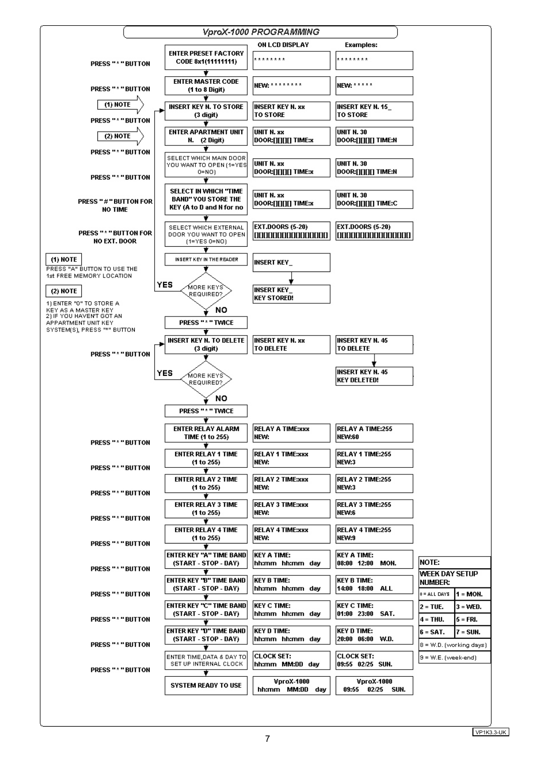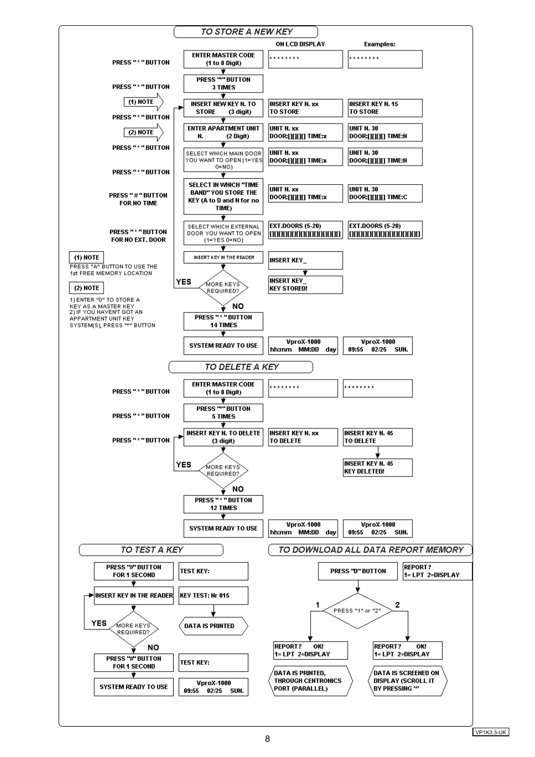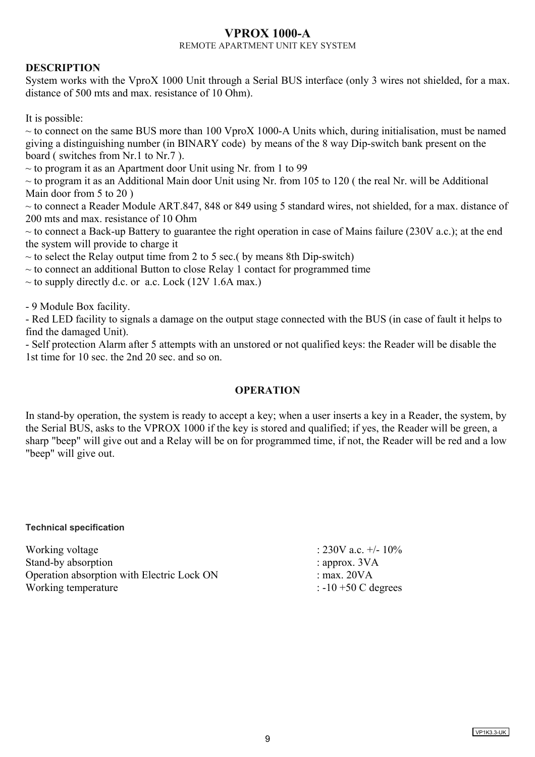# **VPROX 1000-A**

REMOTE APARTMENT UNIT KEY SYSTEM

# **DESCRIPTION**

System works with the VproX 1000 Unit through a Serial BUS interface (only 3 wires not shielded, for a max. distance of 500 mts and max. resistance of 10 Ohm).

It is possible:

 $\sim$  to connect on the same BUS more than 100 VproX 1000-A Units which, during initialisation, must be named giving a distinguishing number (in BINARY code) by means of the 8 way Dip-switch bank present on the board ( switches from Nr.1 to Nr.7 ).

 $\sim$  to program it as an Apartment door Unit using Nr. from 1 to 99

 $\sim$  to program it as an Additional Main door Unit using Nr. from 105 to 120 ( the real Nr. will be Additional Main door from 5 to 20 )

 $\sim$  to connect a Reader Module ART.847, 848 or 849 using 5 standard wires, not shielded, for a max. distance of 200 mts and max. resistance of 10 Ohm

 $\sim$  to connect a Back-up Battery to guarantee the right operation in case of Mains failure (230V a.c.); at the end the system will provide to charge it

 $\sim$  to select the Relay output time from 2 to 5 sec.( by means 8th Dip-switch)

 $\sim$  to connect an additional Button to close Relay 1 contact for programmed time

 $\sim$  to supply directly d.c. or a.c. Lock (12V 1.6A max.)

- 9 Module Box facility.

- Red LED facility to signals a damage on the output stage connected with the BUS (in case of fault it helps to find the damaged Unit).

- Self protection Alarm after 5 attempts with an unstored or not qualified keys: the Reader will be disable the 1st time for 10 sec. the 2nd 20 sec. and so on.

## **OPERATION**

In stand-by operation, the system is ready to accept a key; when a user inserts a key in a Reader, the system, by the Serial BUS, asks to the VPROX 1000 if the key is stored and qualified; if yes, the Reader will be green, a sharp "beep" will give out and a Relay will be on for programmed time, if not, the Reader will be red and a low "beep" will give out.

**Technical specification** 

| Working voltage                            | : 230V a.c. $+/- 10\%$         |
|--------------------------------------------|--------------------------------|
| Stand-by absorption                        | : approx. $3VA$                |
| Operation absorption with Electric Lock ON | : max. $20VA$                  |
| Working temperature                        | $\therefore$ -10 +50 C degrees |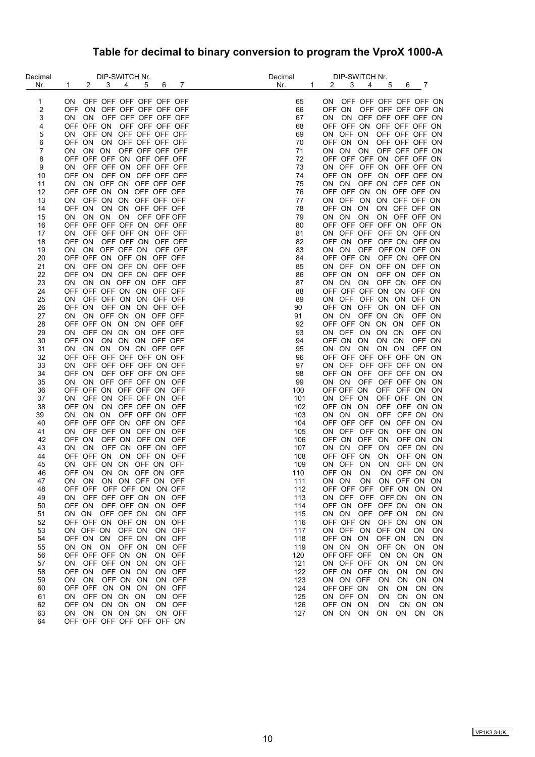# **Table for decimal to binary conversion to program the VproX 1000-A**

| Decimal  | DIP-SWITCH Nr.                                                      | Decimal          | DIP-SWITCH Nr.                                                             |
|----------|---------------------------------------------------------------------|------------------|----------------------------------------------------------------------------|
| Nr.      | $2^{\circ}$<br>3<br>4<br>$\mathbf{1}$<br>5<br>7<br>6                | Nr.<br>$1 \quad$ | $2^{\circ}$<br>$3^{\circ}$<br>4<br>5<br>6 7                                |
| 1        | OFF OFF OFF OFF OFF OFF<br>ON.                                      | 65               | ON OFF OFF OFF OFF OFF ON                                                  |
| 2        | OFF ON OFF OFF OFF OFF OFF                                          | 66               | OFF ON<br>OFF OFF OFF OFF ON                                               |
| 3        | ON OFF OFF OFF OFF OFF<br>ON                                        | 67               | ON OFF OFF OFF OFF ON<br>ON.                                               |
| 4        | OFF OFF ON<br>OFF OFF OFF OFF                                       | 68               | OFF OFF ON OFF OFF OFF ON                                                  |
| 5        | OFF ON OFF OFF OFF OFF<br>ON                                        | 69               | ON OFF ON<br>OFF OFF OFF ON                                                |
| 6        | OFF ON<br>ON OFF OFF OFF OFF                                        | 70               | OFF ON ON<br>OFF OFF OFF ON                                                |
| 7        | ON ON OFF OFF OFF OFF<br><b>ON</b>                                  | 71               | ON OFF OFF OFF ON<br>ON ON                                                 |
| 8        | OFF OFF OFF ON OFF OFF OFF                                          | 72               | OFF OFF OFF ON OFF OFF ON                                                  |
| 9        | OFF OFF ON OFF OFF OFF<br>ON                                        | 73               | ON OFF OFF ON OFF OFF ON                                                   |
| 10       | OFF ON OFF ON OFF OFF OFF                                           | 74               | OFF ON OFF ON OFF OFF ON                                                   |
| 11       | ON OFF ON OFF OFF OFF<br>ON.                                        | 75               | ON ON OFF ON OFF OFF ON                                                    |
| 12       | OFF OFF ON ON OFF OFF OFF                                           | 76               | OFF OFF ON ON OFF OFF ON                                                   |
| 13       | OFF ON ON OFF OFF OFF<br>ON.                                        | 77               | ON OFF ON ON OFF OFF ON                                                    |
| 14       | OFF ON ON ON OFF OFF OFF                                            | 78               | OFF ON ON<br>ON OFF OFF ON                                                 |
| 15       | ON<br>ON ON ON OFF OFF OFF                                          | 79               | ON ON ON<br>ON OFF OFF ON                                                  |
| 16       | OFF OFF OFF OFF ON OFF OFF                                          | 80               | OFF OFF OFF OFF ON OFF ON                                                  |
| 17       | OFF OFF OFF ON OFF OFF<br>ON.                                       | 81               | ON OFF OFF OFF ON OFF ON                                                   |
| 18       | OFF ON<br>OFF OFF ON OFF OFF                                        | 82               | OFF ON OFF OFF ON OFF ON                                                   |
| 19       | ON<br>ON OFF OFF ON<br>OFF OFF                                      | 83               | ON ON<br>OFF OFF ON OFF ON                                                 |
| 20       | OFF OFF ON OFF ON OFF OFF                                           | 84               | OFF ON OFF ON<br>OFF OFF ON                                                |
| 21       | OFF ON OFF ON OFF OFF<br>ON.                                        | 85               | ON OFF ON OFF ON OFF ON                                                    |
| 22       | ON OFF ON OFF OFF<br>OFF ON                                         | 86               | OFF ON OFF ON<br>OFF ON ON                                                 |
| 23       | ON<br>ON ON OFF ON OFF OFF                                          | 87               | OFF ON OFF ON<br>ON ON<br>ON                                               |
| 24       | OFF OFF OFF ON ON OFF OFF                                           | 88               | OFF OFF OFF ON ON OFF ON                                                   |
| 25       | OFF OFF ON ON OFF OFF<br>ON.                                        | 89               | ON OFF OFF ON ON OFF ON                                                    |
| 26       | OFF ON<br>OFF ON ON OFF OFF                                         | 90               | OFF ON OFF ON ON OFF ON                                                    |
| 27       | ON OFF ON ON OFF OFF<br>ON.                                         | 91               | ON ON OFF ON ON<br>OFF ON                                                  |
| 28       | OFF OFF ON ON ON OFF OFF                                            | 92               | OFF OFF ON ON ON<br>OFF ON                                                 |
| 29       | ON OFF ON ON ON OFF OFF                                             | 93               | ON OFF ON ON ON<br>OFF ON                                                  |
| 30       | OFF ON ON ON ON OFF OFF                                             | 94               | OFF ON ON<br>ON ON<br>OFF ON                                               |
| 31       | ON ON ON ON OFF OFF<br>ON.                                          | 95               | ON ON ON ON ON<br>OFF ON                                                   |
| 32       | OFF OFF OFF OFF OFF ON OFF                                          | 96               | OFF OFF OFF OFF OFF ON ON                                                  |
| 33       | OFF OFF OFF OFF ON OFF<br>ON.                                       | 97               | ON OFF OFF OFF OFF ON ON                                                   |
| 34       | OFF ON<br>OFF OFF OFF ON OFF                                        | 98               | OFF ON OFF OFF OFF ON ON                                                   |
| 35       | ON OFF OFF OFF ON OFF<br>ON                                         | 99               | ON ON<br>OFF OFF OFF ON ON                                                 |
| 36       | OFF OFF ON OFF OFF ON<br>OFF                                        | 100              | OFF OFF ON<br>OFF OFF ON ON                                                |
| 37       | OFF ON OFF OFF ON<br>OFF<br>ON.                                     | 101              | ON OFF ON<br>OFF OFF ON<br>ON                                              |
| 38       | OFF ON<br>ON OFF OFF ON OFF                                         | 102              | OFF OFF ON ON<br>OFF ON ON                                                 |
| 39       | ON ON<br>OFF OFF ON<br>OFF<br>ΟN                                    | 103              | OFF OFF ON<br>ON ON<br>ON<br>ON                                            |
| 40       | OFF OFF OFF ON OFF ON OFF                                           | 104              | OFF OFF OFF ON<br>OFF ON ON                                                |
| 41       | OFF OFF ON OFF ON<br>OFF<br>ON.                                     | 105              | ON OFF OFF ON<br>OFF ON<br>ON                                              |
| 42       | OFF ON<br>OFF ON OFF ON OFF                                         | 106              | OFF ON OFF ON<br>OFF ON ON                                                 |
| 43       | OFF ON OFF ON<br>ON<br>ON.<br>OFF                                   | 107              | ON ON<br><b>OFF</b><br>OFF ON<br>ON<br>ON                                  |
| 44       | OFF OFF ON<br>ON OFF ON OFF                                         | 108              | OFF OFF ON<br><b>ON</b><br>OFF ON ON                                       |
| 45       | OFF ON ON OFF ON OFF<br>ON                                          | 109              | ON OFF ON<br>ON<br>OFF ON ON                                               |
| 46       | OFF ON ON ON OFF ON OFF                                             | 110              | OFF ON<br>ON<br>ON OFF ON ON                                               |
| 47       | ON ON ON OFF ON OFF<br>ON.                                          | 111              | ON ON<br><b>ON</b><br>ON OFF ON<br>ON                                      |
| 48       | OFF OFF OFF OFF ON ON OFF                                           | 112              | OFF OFF OFF OFF ON<br><b>ON</b><br>0N                                      |
| 49       | ON OFF OFF OFF ON<br>ON OFF                                         | 113              | ON OFF OFF OFF ON<br><b>ON</b><br><b>ON</b>                                |
| 50       | OFF ON OFF OFF ON<br>ON OFF<br>OFF OFF ON                           | 114              | OFF ON OFF<br>OFF ON<br>ON<br>0N                                           |
| 51       | ON ON<br>ON OFF                                                     | 115              | ON ON<br>OFF<br>OFF ON<br>ON<br>ON                                         |
| 52<br>53 | OFF OFF ON OFF ON<br>OFF<br>ON<br>ON OFF ON<br>OFF ON<br>ON.<br>OFF | 116<br>117       | OFF OFF ON<br>OFF ON<br><b>ON</b><br>ON<br>ON OFF ON<br>OFF ON<br>ON<br>ON |
| 54       | OFF ON ON<br>OFF ON<br>OFF<br>ON                                    | 118              | OFF ON ON<br>OFF ON<br>ON<br>ΟN                                            |
| 55       | OFF ON<br><b>OFF</b><br>ON ON ON<br><b>ON</b>                       | 119              | ON ON<br>ON<br>OFF ON<br>ON<br>0N                                          |
| 56       | OFF OFF OFF ON ON<br>OFF<br>ON                                      | 120              | OFF OFF OFF<br>ON<br>ON<br>ON<br>ON                                        |
| 57       | ON OFF OFF ON ON<br>ON OFF                                          | 121              | ON OFF OFF<br>ON<br>ON<br>0N<br>ON                                         |
| 58       | OFF<br>OFF ON<br>OFF ON ON<br>ON                                    | 122              | OFF ON OFF<br>ON<br>ON<br>ON<br>ON                                         |
| 59       | ON ON<br>OFF ON ON<br>ON OFF                                        | 123              | ON ON OFF<br>ON<br><b>ON</b><br>ON ON                                      |
| 60       | OFF OFF ON ON ON<br>ON OFF                                          | 124              | OFF OFF ON<br>ON ON<br>ON<br>ON                                            |
| 61       | ON OFF ON ON ON<br>ON OFF                                           | 125              | ON OFF ON<br>ON ON<br>ON<br>ON                                             |
| 62       | OFF ON<br>ON ON ON<br>ON OFF                                        | 126              | OFF ON ON<br>ON<br>ON<br>ON<br>ON                                          |
| 63       | ON ON ON ON ON<br>ON OFF                                            | 127              | ON ON ON<br>ON<br>ON<br>ON<br>ON                                           |
| 64       | OFF OFF OFF OFF OFF OFF ON                                          |                  |                                                                            |